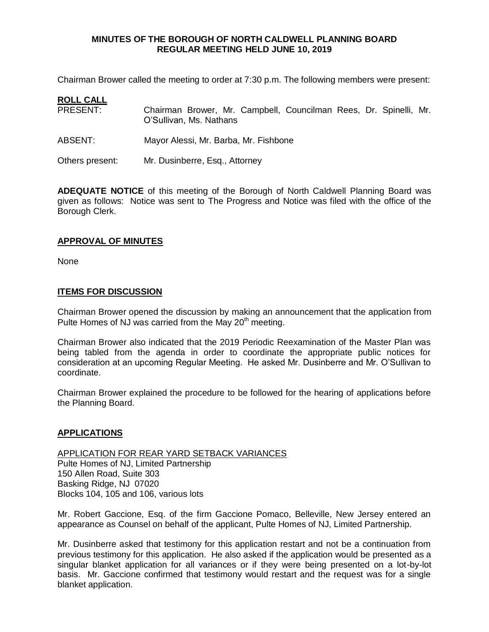Chairman Brower called the meeting to order at 7:30 p.m. The following members were present:

| <b>ROLL CALL</b> |                                                                                              |
|------------------|----------------------------------------------------------------------------------------------|
| PRESENT:         | Chairman Brower, Mr. Campbell, Councilman Rees, Dr. Spinelli, Mr.<br>O'Sullivan, Ms. Nathans |
| ABSENT:          | Mayor Alessi, Mr. Barba, Mr. Fishbone                                                        |
| Others present:  | Mr. Dusinberre, Esq., Attorney                                                               |

**ADEQUATE NOTICE** of this meeting of the Borough of North Caldwell Planning Board was given as follows: Notice was sent to The Progress and Notice was filed with the office of the Borough Clerk.

# **APPROVAL OF MINUTES**

None

# **ITEMS FOR DISCUSSION**

Chairman Brower opened the discussion by making an announcement that the application from Pulte Homes of NJ was carried from the May 20<sup>th</sup> meeting.

Chairman Brower also indicated that the 2019 Periodic Reexamination of the Master Plan was being tabled from the agenda in order to coordinate the appropriate public notices for consideration at an upcoming Regular Meeting. He asked Mr. Dusinberre and Mr. O'Sullivan to coordinate.

Chairman Brower explained the procedure to be followed for the hearing of applications before the Planning Board.

# **APPLICATIONS**

APPLICATION FOR REAR YARD SETBACK VARIANCES Pulte Homes of NJ, Limited Partnership 150 Allen Road, Suite 303 Basking Ridge, NJ 07020 Blocks 104, 105 and 106, various lots

Mr. Robert Gaccione, Esq. of the firm Gaccione Pomaco, Belleville, New Jersey entered an appearance as Counsel on behalf of the applicant, Pulte Homes of NJ, Limited Partnership.

Mr. Dusinberre asked that testimony for this application restart and not be a continuation from previous testimony for this application. He also asked if the application would be presented as a singular blanket application for all variances or if they were being presented on a lot-by-lot basis. Mr. Gaccione confirmed that testimony would restart and the request was for a single blanket application.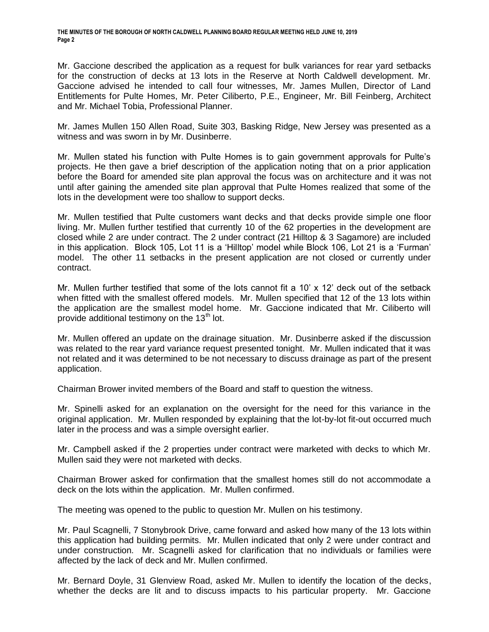Mr. Gaccione described the application as a request for bulk variances for rear yard setbacks for the construction of decks at 13 lots in the Reserve at North Caldwell development. Mr. Gaccione advised he intended to call four witnesses, Mr. James Mullen, Director of Land Entitlements for Pulte Homes, Mr. Peter Ciliberto, P.E., Engineer, Mr. Bill Feinberg, Architect and Mr. Michael Tobia, Professional Planner.

Mr. James Mullen 150 Allen Road, Suite 303, Basking Ridge, New Jersey was presented as a witness and was sworn in by Mr. Dusinberre.

Mr. Mullen stated his function with Pulte Homes is to gain government approvals for Pulte's projects. He then gave a brief description of the application noting that on a prior application before the Board for amended site plan approval the focus was on architecture and it was not until after gaining the amended site plan approval that Pulte Homes realized that some of the lots in the development were too shallow to support decks.

Mr. Mullen testified that Pulte customers want decks and that decks provide simple one floor living. Mr. Mullen further testified that currently 10 of the 62 properties in the development are closed while 2 are under contract. The 2 under contract (21 Hilltop & 3 Sagamore) are included in this application. Block 105, Lot 11 is a 'Hilltop' model while Block 106, Lot 21 is a 'Furman' model. The other 11 setbacks in the present application are not closed or currently under contract.

Mr. Mullen further testified that some of the lots cannot fit a 10' x 12' deck out of the setback when fitted with the smallest offered models. Mr. Mullen specified that 12 of the 13 lots within the application are the smallest model home. Mr. Gaccione indicated that Mr. Ciliberto will provide additional testimony on the  $13<sup>th</sup>$  lot.

Mr. Mullen offered an update on the drainage situation. Mr. Dusinberre asked if the discussion was related to the rear yard variance request presented tonight. Mr. Mullen indicated that it was not related and it was determined to be not necessary to discuss drainage as part of the present application.

Chairman Brower invited members of the Board and staff to question the witness.

Mr. Spinelli asked for an explanation on the oversight for the need for this variance in the original application. Mr. Mullen responded by explaining that the lot-by-lot fit-out occurred much later in the process and was a simple oversight earlier.

Mr. Campbell asked if the 2 properties under contract were marketed with decks to which Mr. Mullen said they were not marketed with decks.

Chairman Brower asked for confirmation that the smallest homes still do not accommodate a deck on the lots within the application. Mr. Mullen confirmed.

The meeting was opened to the public to question Mr. Mullen on his testimony.

Mr. Paul Scagnelli, 7 Stonybrook Drive, came forward and asked how many of the 13 lots within this application had building permits. Mr. Mullen indicated that only 2 were under contract and under construction. Mr. Scagnelli asked for clarification that no individuals or families were affected by the lack of deck and Mr. Mullen confirmed.

Mr. Bernard Doyle, 31 Glenview Road, asked Mr. Mullen to identify the location of the decks, whether the decks are lit and to discuss impacts to his particular property. Mr. Gaccione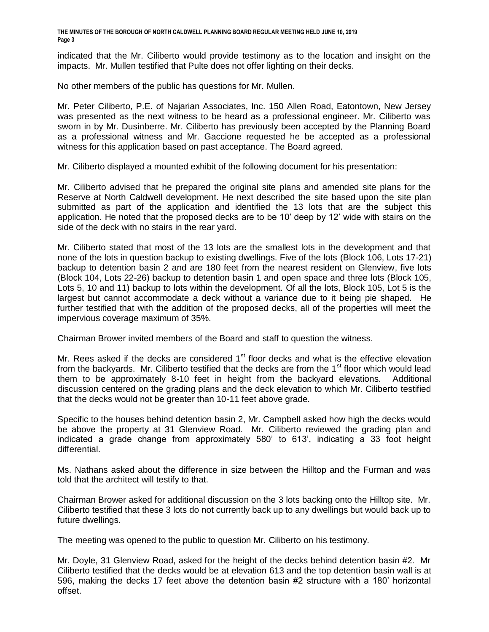indicated that the Mr. Ciliberto would provide testimony as to the location and insight on the impacts. Mr. Mullen testified that Pulte does not offer lighting on their decks.

No other members of the public has questions for Mr. Mullen.

Mr. Peter Ciliberto, P.E. of Najarian Associates, Inc. 150 Allen Road, Eatontown, New Jersey was presented as the next witness to be heard as a professional engineer. Mr. Ciliberto was sworn in by Mr. Dusinberre. Mr. Ciliberto has previously been accepted by the Planning Board as a professional witness and Mr. Gaccione requested he be accepted as a professional witness for this application based on past acceptance. The Board agreed.

Mr. Ciliberto displayed a mounted exhibit of the following document for his presentation:

Mr. Ciliberto advised that he prepared the original site plans and amended site plans for the Reserve at North Caldwell development. He next described the site based upon the site plan submitted as part of the application and identified the 13 lots that are the subject this application. He noted that the proposed decks are to be 10' deep by 12' wide with stairs on the side of the deck with no stairs in the rear yard.

Mr. Ciliberto stated that most of the 13 lots are the smallest lots in the development and that none of the lots in question backup to existing dwellings. Five of the lots (Block 106, Lots 17-21) backup to detention basin 2 and are 180 feet from the nearest resident on Glenview, five lots (Block 104, Lots 22-26) backup to detention basin 1 and open space and three lots (Block 105, Lots 5, 10 and 11) backup to lots within the development. Of all the lots, Block 105, Lot 5 is the largest but cannot accommodate a deck without a variance due to it being pie shaped. He further testified that with the addition of the proposed decks, all of the properties will meet the impervious coverage maximum of 35%.

Chairman Brower invited members of the Board and staff to question the witness.

Mr. Rees asked if the decks are considered  $1<sup>st</sup>$  floor decks and what is the effective elevation from the backyards. Mr. Ciliberto testified that the decks are from the  $1<sup>st</sup>$  floor which would lead them to be approximately 8-10 feet in height from the backyard elevations. Additional discussion centered on the grading plans and the deck elevation to which Mr. Ciliberto testified that the decks would not be greater than 10-11 feet above grade.

Specific to the houses behind detention basin 2, Mr. Campbell asked how high the decks would be above the property at 31 Glenview Road. Mr. Ciliberto reviewed the grading plan and indicated a grade change from approximately 580' to 613', indicating a 33 foot height differential.

Ms. Nathans asked about the difference in size between the Hilltop and the Furman and was told that the architect will testify to that.

Chairman Brower asked for additional discussion on the 3 lots backing onto the Hilltop site. Mr. Ciliberto testified that these 3 lots do not currently back up to any dwellings but would back up to future dwellings.

The meeting was opened to the public to question Mr. Ciliberto on his testimony.

Mr. Doyle, 31 Glenview Road, asked for the height of the decks behind detention basin #2. Mr Ciliberto testified that the decks would be at elevation 613 and the top detention basin wall is at 596, making the decks 17 feet above the detention basin #2 structure with a 180' horizontal offset.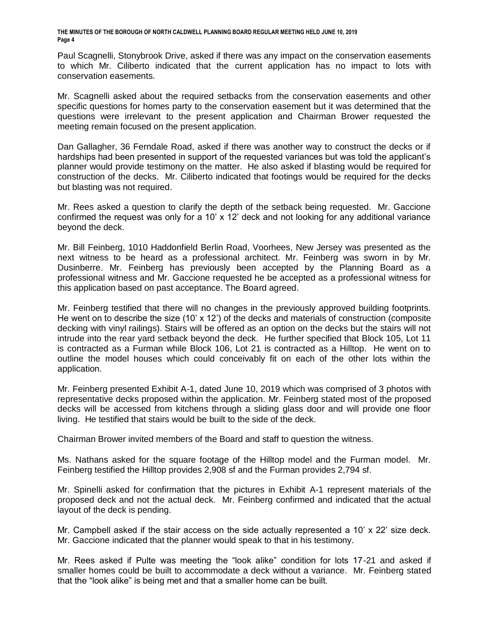Paul Scagnelli, Stonybrook Drive, asked if there was any impact on the conservation easements to which Mr. Ciliberto indicated that the current application has no impact to lots with conservation easements.

Mr. Scagnelli asked about the required setbacks from the conservation easements and other specific questions for homes party to the conservation easement but it was determined that the questions were irrelevant to the present application and Chairman Brower requested the meeting remain focused on the present application.

Dan Gallagher, 36 Ferndale Road, asked if there was another way to construct the decks or if hardships had been presented in support of the requested variances but was told the applicant's planner would provide testimony on the matter. He also asked if blasting would be required for construction of the decks. Mr. Ciliberto indicated that footings would be required for the decks but blasting was not required.

Mr. Rees asked a question to clarify the depth of the setback being requested. Mr. Gaccione confirmed the request was only for a 10' x 12' deck and not looking for any additional variance beyond the deck.

Mr. Bill Feinberg, 1010 Haddonfield Berlin Road, Voorhees, New Jersey was presented as the next witness to be heard as a professional architect. Mr. Feinberg was sworn in by Mr. Dusinberre. Mr. Feinberg has previously been accepted by the Planning Board as a professional witness and Mr. Gaccione requested he be accepted as a professional witness for this application based on past acceptance. The Board agreed.

Mr. Feinberg testified that there will no changes in the previously approved building footprints. He went on to describe the size  $(10' \times 12')$  of the decks and materials of construction (composite decking with vinyl railings). Stairs will be offered as an option on the decks but the stairs will not intrude into the rear yard setback beyond the deck. He further specified that Block 105, Lot 11 is contracted as a Furman while Block 106, Lot 21 is contracted as a Hilltop. He went on to outline the model houses which could conceivably fit on each of the other lots within the application.

Mr. Feinberg presented Exhibit A-1, dated June 10, 2019 which was comprised of 3 photos with representative decks proposed within the application. Mr. Feinberg stated most of the proposed decks will be accessed from kitchens through a sliding glass door and will provide one floor living. He testified that stairs would be built to the side of the deck.

Chairman Brower invited members of the Board and staff to question the witness.

Ms. Nathans asked for the square footage of the Hilltop model and the Furman model. Mr. Feinberg testified the Hilltop provides 2,908 sf and the Furman provides 2,794 sf.

Mr. Spinelli asked for confirmation that the pictures in Exhibit A-1 represent materials of the proposed deck and not the actual deck. Mr. Feinberg confirmed and indicated that the actual layout of the deck is pending.

Mr. Campbell asked if the stair access on the side actually represented a 10' x 22' size deck. Mr. Gaccione indicated that the planner would speak to that in his testimony.

Mr. Rees asked if Pulte was meeting the "look alike" condition for lots 17-21 and asked if smaller homes could be built to accommodate a deck without a variance. Mr. Feinberg stated that the "look alike" is being met and that a smaller home can be built.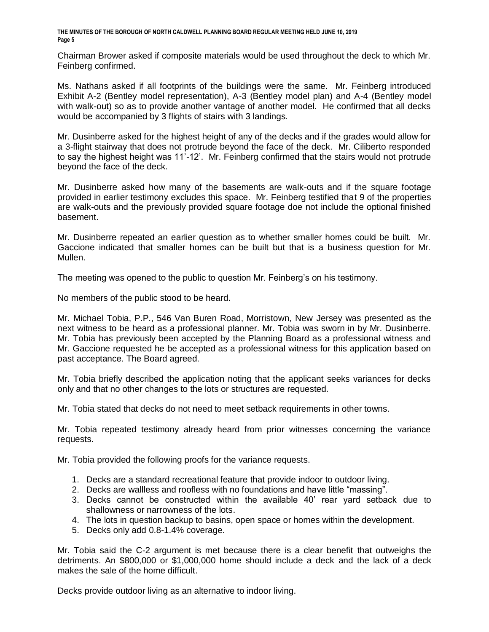Chairman Brower asked if composite materials would be used throughout the deck to which Mr. Feinberg confirmed.

Ms. Nathans asked if all footprints of the buildings were the same. Mr. Feinberg introduced Exhibit A-2 (Bentley model representation), A-3 (Bentley model plan) and A-4 (Bentley model with walk-out) so as to provide another vantage of another model. He confirmed that all decks would be accompanied by 3 flights of stairs with 3 landings.

Mr. Dusinberre asked for the highest height of any of the decks and if the grades would allow for a 3-flight stairway that does not protrude beyond the face of the deck. Mr. Ciliberto responded to say the highest height was 11'-12'. Mr. Feinberg confirmed that the stairs would not protrude beyond the face of the deck.

Mr. Dusinberre asked how many of the basements are walk-outs and if the square footage provided in earlier testimony excludes this space. Mr. Feinberg testified that 9 of the properties are walk-outs and the previously provided square footage doe not include the optional finished basement.

Mr. Dusinberre repeated an earlier question as to whether smaller homes could be built. Mr. Gaccione indicated that smaller homes can be built but that is a business question for Mr. Mullen.

The meeting was opened to the public to question Mr. Feinberg's on his testimony.

No members of the public stood to be heard.

Mr. Michael Tobia, P.P., 546 Van Buren Road, Morristown, New Jersey was presented as the next witness to be heard as a professional planner. Mr. Tobia was sworn in by Mr. Dusinberre. Mr. Tobia has previously been accepted by the Planning Board as a professional witness and Mr. Gaccione requested he be accepted as a professional witness for this application based on past acceptance. The Board agreed.

Mr. Tobia briefly described the application noting that the applicant seeks variances for decks only and that no other changes to the lots or structures are requested.

Mr. Tobia stated that decks do not need to meet setback requirements in other towns.

Mr. Tobia repeated testimony already heard from prior witnesses concerning the variance requests.

Mr. Tobia provided the following proofs for the variance requests.

- 1. Decks are a standard recreational feature that provide indoor to outdoor living.
- 2. Decks are wallless and roofless with no foundations and have little "massing".
- 3. Decks cannot be constructed within the available 40' rear yard setback due to shallowness or narrowness of the lots.
- 4. The lots in question backup to basins, open space or homes within the development.
- 5. Decks only add 0.8-1.4% coverage.

Mr. Tobia said the C-2 argument is met because there is a clear benefit that outweighs the detriments. An \$800,000 or \$1,000,000 home should include a deck and the lack of a deck makes the sale of the home difficult.

Decks provide outdoor living as an alternative to indoor living.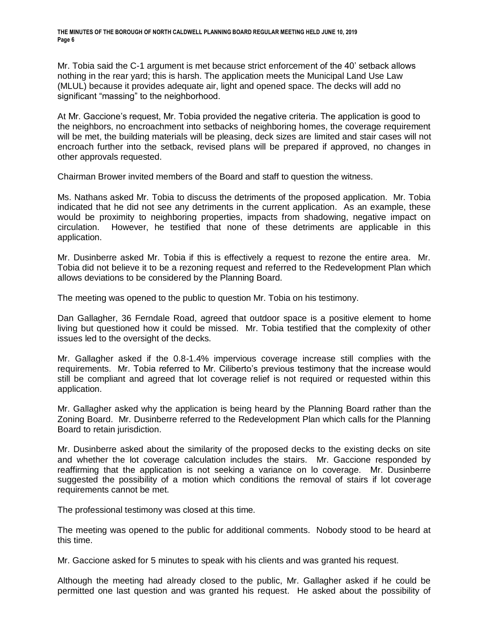Mr. Tobia said the C-1 argument is met because strict enforcement of the 40' setback allows nothing in the rear yard; this is harsh. The application meets the Municipal Land Use Law (MLUL) because it provides adequate air, light and opened space. The decks will add no significant "massing" to the neighborhood.

At Mr. Gaccione's request, Mr. Tobia provided the negative criteria. The application is good to the neighbors, no encroachment into setbacks of neighboring homes, the coverage requirement will be met, the building materials will be pleasing, deck sizes are limited and stair cases will not encroach further into the setback, revised plans will be prepared if approved, no changes in other approvals requested.

Chairman Brower invited members of the Board and staff to question the witness.

Ms. Nathans asked Mr. Tobia to discuss the detriments of the proposed application. Mr. Tobia indicated that he did not see any detriments in the current application. As an example, these would be proximity to neighboring properties, impacts from shadowing, negative impact on circulation. However, he testified that none of these detriments are applicable in this application.

Mr. Dusinberre asked Mr. Tobia if this is effectively a request to rezone the entire area. Mr. Tobia did not believe it to be a rezoning request and referred to the Redevelopment Plan which allows deviations to be considered by the Planning Board.

The meeting was opened to the public to question Mr. Tobia on his testimony.

Dan Gallagher, 36 Ferndale Road, agreed that outdoor space is a positive element to home living but questioned how it could be missed. Mr. Tobia testified that the complexity of other issues led to the oversight of the decks.

Mr. Gallagher asked if the 0.8-1.4% impervious coverage increase still complies with the requirements. Mr. Tobia referred to Mr. Ciliberto's previous testimony that the increase would still be compliant and agreed that lot coverage relief is not required or requested within this application.

Mr. Gallagher asked why the application is being heard by the Planning Board rather than the Zoning Board. Mr. Dusinberre referred to the Redevelopment Plan which calls for the Planning Board to retain jurisdiction.

Mr. Dusinberre asked about the similarity of the proposed decks to the existing decks on site and whether the lot coverage calculation includes the stairs. Mr. Gaccione responded by reaffirming that the application is not seeking a variance on lo coverage. Mr. Dusinberre suggested the possibility of a motion which conditions the removal of stairs if lot coverage requirements cannot be met.

The professional testimony was closed at this time.

The meeting was opened to the public for additional comments. Nobody stood to be heard at this time.

Mr. Gaccione asked for 5 minutes to speak with his clients and was granted his request.

Although the meeting had already closed to the public, Mr. Gallagher asked if he could be permitted one last question and was granted his request. He asked about the possibility of